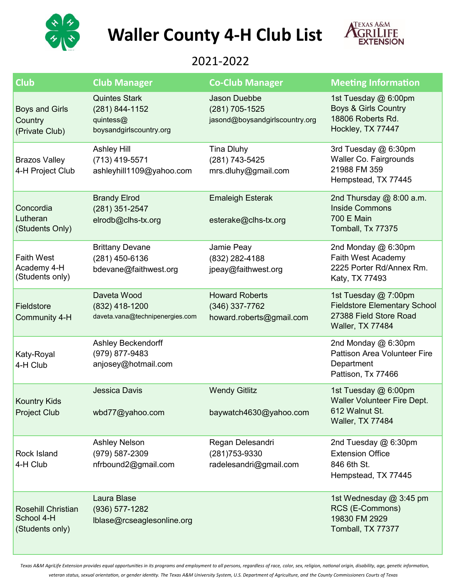

## **Waller County 4-H Club List**



## 2021-2022

| <b>Club</b>                                                | <b>Club Manager</b>                                                            | <b>Co-Club Manager</b>                                                  | <b>Meeting Information</b>                                                                                |
|------------------------------------------------------------|--------------------------------------------------------------------------------|-------------------------------------------------------------------------|-----------------------------------------------------------------------------------------------------------|
| <b>Boys and Girls</b><br>Country<br>(Private Club)         | <b>Quintes Stark</b><br>(281) 844-1152<br>quintess@<br>boysandgirlscountry.org | <b>Jason Duebbe</b><br>(281) 705-1525<br>jasond@boysandgirlscountry.org | 1st Tuesday @ 6:00pm<br><b>Boys &amp; Girls Country</b><br>18806 Roberts Rd.<br>Hockley, TX 77447         |
| <b>Brazos Valley</b><br>4-H Project Club                   | <b>Ashley Hill</b><br>(713) 419-5571<br>ashleyhill1109@yahoo.com               | <b>Tina Dluhy</b><br>(281) 743-5425<br>mrs.dluhy@gmail.com              | 3rd Tuesday @ 6:30pm<br>Waller Co. Fairgrounds<br>21988 FM 359<br>Hempstead, TX 77445                     |
| Concordia<br>Lutheran<br>(Students Only)                   | <b>Brandy Elrod</b><br>(281) 351-2547<br>elrodb@clhs-tx.org                    | <b>Emaleigh Esterak</b><br>esterake@clhs-tx.org                         | 2nd Thursday @ 8:00 a.m.<br><b>Inside Commons</b><br><b>700 E Main</b><br>Tomball, Tx 77375               |
| <b>Faith West</b><br>Academy 4-H<br>(Students only)        | <b>Brittany Devane</b><br>(281) 450-6136<br>bdevane@faithwest.org              | Jamie Peay<br>(832) 282-4188<br>jpeay@faithwest.org                     | 2nd Monday @ 6:30pm<br>Faith West Academy<br>2225 Porter Rd/Annex Rm.<br>Katy, TX 77493                   |
| Fieldstore<br>Community 4-H                                | Daveta Wood<br>(832) 418-1200<br>daveta.vana@technipenergies.com               | <b>Howard Roberts</b><br>(346) 337-7762<br>howard.roberts@gmail.com     | 1st Tuesday @ 7:00pm<br><b>Fieldstore Elementary School</b><br>27388 Field Store Road<br>Waller, TX 77484 |
| Katy-Royal<br>4-H Club                                     | <b>Ashley Beckendorff</b><br>(979) 877-9483<br>anjosey@hotmail.com             |                                                                         | 2nd Monday @ 6:30pm<br><b>Pattison Area Volunteer Fire</b><br>Department<br>Pattison, Tx 77466            |
| <b>Kountry Kids</b><br><b>Project Club</b>                 | <b>Jessica Davis</b><br>wbd77@yahoo.com                                        | <b>Wendy Gitlitz</b><br>baywatch4630@yahoo.com                          | 1st Tuesday @ 6:00pm<br>Waller Volunteer Fire Dept.<br>612 Walnut St.<br><b>Waller, TX 77484</b>          |
| Rock Island<br>4-H Club                                    | <b>Ashley Nelson</b><br>(979) 587-2309<br>nfrbound2@gmail.com                  | Regan Delesandri<br>(281) 753-9330<br>radelesandri@gmail.com            | 2nd Tuesday @ 6:30pm<br><b>Extension Office</b><br>846 6th St.<br>Hempstead, TX 77445                     |
| <b>Rosehill Christian</b><br>School 4-H<br>(Students only) | Laura Blase<br>(936) 577-1282<br>Iblase@rcseaglesonline.org                    |                                                                         | 1st Wednesday @ 3:45 pm<br>RCS (E-Commons)<br>19830 FM 2929<br>Tomball, TX 77377                          |

*Texas A&M AgriLife Extension provides equal opportunities in its programs and employment to all persons, regardless of race, color, sex, religion, national origin, disability, age, genetic information,* 

*veteran status, sexual orientation, or gender identity. The Texas A&M University System, U.S. Department of Agriculture, and the County Commissioners Courts of Texas*